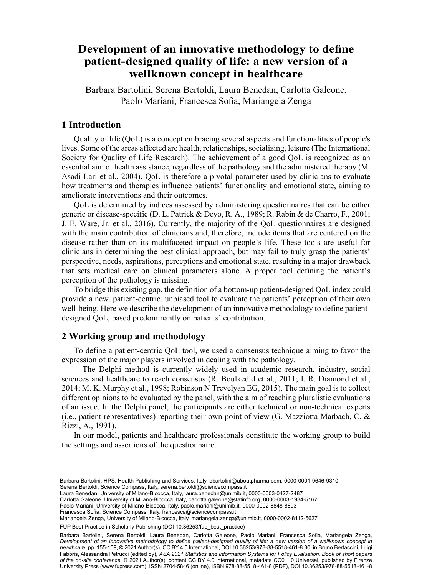# Development of an innovative methodology to define patient-designed quality of life: a new version of a wellknown concept in healthcare

Barbara Bartolini, Serena Bertoldi, Laura Benedan, Carlotta Galeone, 4 Dipartimento di Statistica e Metodia, Statistica e Statistica e Metodia, Curretti otticari, Paolo Mariani, Francesca, Sofia, Marianoela, Zenoa Paolo Mariani, Francesca Sofia, Mariangela Zenga

## 1 Introduction

Quality of life (QoL) is a concept embracing several aspects and functionalities of people's lives. Some of the areas affected are health, relationships, socializing, leisure (The International Society for Quality of Life Research). The achievement of a good QoL is recognized as an essential aim of health assistance, regardless of the pathology and the administered therapy (M. Asadi-Lari et al., 2004). QoL is therefore a pivotal parameter used by clinicians to evaluate how treatments and therapies influence patients' functionality and emotional state, aiming to ameliorate interventions and their outcomes.

QoL is determined by indices assessed by administering questionnaires that can be either generic or disease-specific (D. L. Patrick & Deyo, R. A., 1989; R. Rabin & de Charro, F., 2001; J. E. Ware, Jr. et al., 2016). Currently, the majority of the QoL questionnaires are designed with the main contribution of clinicians and, therefore, include items that are centered on the disease rather than on its multifaceted impact on people's life. These tools are useful for clinicians in determining the best clinical approach, but may fail to truly grasp the patients' perspective, needs, aspirations, perceptions and emotional state, resulting in a major drawback that sets medical care on clinical parameters alone. A proper tool defining the patient's perception of the pathology is missing.

To bridge this existing gap, the definition of a bottom-up patient-designed QoL index could provide a new, patient-centric, unbiased tool to evaluate the patients' perception of their own well-being. Here we describe the development of an innovative methodology to define patientdesigned QoL, based predominantly on patients' contribution.

## 2 Working group and methodology

To define a patient-centric QoL tool, we used a consensus technique aiming to favor the expression of the major players involved in dealing with the pathology.

 The Delphi method is currently widely used in academic research, industry, social sciences and healthcare to reach consensus (R. Boulkedid et al., 2011; I. R. Diamond et al., 2014; M. K. Murphy et al., 1998; Robinson N Trevelyan EG, 2015). The main goal is to collect different opinions to be evaluated by the panel, with the aim of reaching pluralistic evaluations of an issue. In the Delphi panel, the participants are either technical or non-technical experts (i.e., patient representatives) reporting their own point of view (G. Mazziotta Marbach, C. & Rizzi, A., 1991).

In our model, patients and healthcare professionals constitute the working group to build the settings and assertions of the questionnaire.

- Serena Benoidi, Science Compass, italy, serena.benoidi@sciencecompass.it<br>Laura Benedan, University of Milano-Bicocca, Italy, [laura.benedan@unimib.it](mailto:laura.benedan@unimib.it), [0000-0003-0427-2487](https://orcid.org/0000-0003-0427-2487)
- Carlotta Galeone, University of Milano-Bicocca, Italy, [carlotta.galeone@statinfo.org,](mailto:carlotta.galeone@statinfo.org) [0000-0003-1934-5167](https://orcid.org/0000-0003-1934-5167)

Paolo Mariani, University of Milano-Bicocca, Italy, [paolo.mariani@unimib.it](mailto:paolo.mariani@unimib.it), [0000-0002-8848-8893](https://orcid.org/0000-0002-8848-8893) Francesca Sofia, Science Compass, Italy, [francesca@sciencecompass.it](mailto:francesca@sciencecompass.it)

Mariangela Zenga, University of Milano-Bicocca, Italy, [mariangela.zenga@unimib.it,](mailto:mariangela.zenga@unimib.it) [0000-0002-8112-5627](https://orcid.org/0000-0002-8112-5627)

FUP Best Practice in Scholarly Publishing (DOI [10.36253/fup\\_best\\_practice](https://doi.org/10.36253/fup_best_practice))

Barbara Bartolini, Serena Bertoldi, Laura Benedan, Carlotta Galeone, Paolo Mariani, Francesca Sofia, Mariangela Zenga, *Development of an innovative methodology to define patient-designed quality of life: a new version of a wellknown concept in healthcare*, pp. 155-159, © 2021 Author(s), [CC BY 4.0 International,](http://creativecommons.org/licenses/by/4.0/legalcode) DOI [10.36253/978-88-5518-461-8.30,](https://doi.org/10.36253/978-88-5518-461-8.30) in Bruno Bertaccini, Luigi Fabbris, Alessandra Petrucci (edited by), *ASA 2021 Statistics and Information Systems for Policy Evaluation. Book of short papers of the on-site conference*, © 2021 Author(s), content [CC BY 4.0 International,](http://creativecommons.org/licenses/by/4.0/legalcode) metadata [CC0 1.0 Universal](https://creativecommons.org/publicdomain/zero/1.0/legalcode), published by Firenze University Press ([www.fupress.com\)](http://www.fupress.com), ISSN 2704-5846 (online), ISBN 978-88-5518-461-8 (PDF), DOI [10.36253/978-88-5518-461-8](https://doi.org/10.36253/978-88-5518-461-8)

Barbara Bartolini, HPS, Health Publishing and Services, Italy, [bbartolini@aboutpharma.com,](mailto:bbartolini@aboutpharma.com) [0000-0001-9646-9310](https://orcid.org/0000-0001-9646-9310) Serena Bertoldi, Science Compass, Italy, [serena.bertoldi@sciencecompass.it](mailto:serena.bertoldi@sciencecompass.it)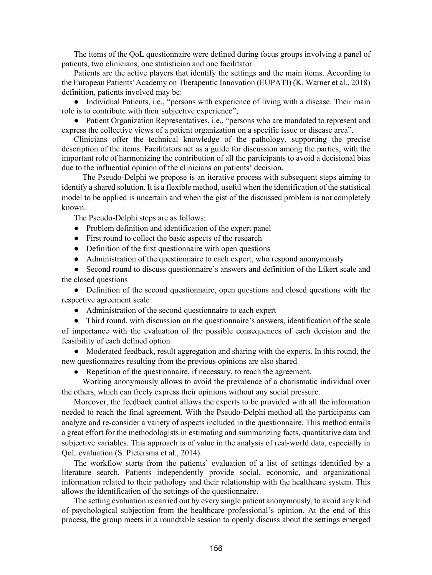The items of the QoL questionnaire were defined during focus groups involving a panel of patients, two clinicians, one statistician and one facilitator.

Patients are the active players that identify the settings and the main items. According to the European Patients' Academy on Therapeutic Innovation (EUPATI) (K. Warner et al., 2018) definition, patients involved may be:

● Individual Patients, i.e., "persons with experience of living with a disease. Their main role is to contribute with their subjective experience";

• Patient Organization Representatives, i.e., "persons who are mandated to represent and express the collective views of a patient organization on a specific issue or disease area".

Clinicians offer the technical knowledge of the pathology, supporting the precise description of the items. Facilitators act as a guide for discussion among the parties, with the important role of harmonizing the contribution of all the participants to avoid a decisional bias due to the influential opinion of the clinicians on patients' decision.

 The Pseudo-Delphi we propose is an iterative process with subsequent steps aiming to identify a shared solution. It is a flexible method, useful when the identification of the statistical model to be applied is uncertain and when the gist of the discussed problem is not completely known.

The Pseudo-Delphi steps are as follows:

- Problem definition and identification of the expert panel
- First round to collect the basic aspects of the research
- Definition of the first questionnaire with open questions
- Administration of the questionnaire to each expert, who respond anonymously

● Second round to discuss questionnaire's answers and definition of the Likert scale and the closed questions

• Definition of the second questionnaire, open questions and closed questions with the respective agreement scale

● Administration of the second questionnaire to each expert

● Third round, with discussion on the questionnaire's answers, identification of the scale of importance with the evaluation of the possible consequences of each decision and the feasibility of each defined option

● Moderated feedback, result aggregation and sharing with the experts. In this round, the new questionnaires resulting from the previous opinions are also shared

• Repetition of the questionnaire, if necessary, to reach the agreement.

 Working anonymously allows to avoid the prevalence of a charismatic individual over the others, which can freely express their opinions without any social pressure.

Moreover, the feedback control allows the experts to be provided with all the information needed to reach the final agreement. With the Pseudo-Delphi method all the participants can analyze and re-consider a variety of aspects included in the questionnaire. This method entails a great effort for the methodologists in estimating and summarizing facts, quantitative data and subjective variables. This approach is of value in the analysis of real-world data, especially in QoL evaluation (S. Pietersma et al., 2014).

The workflow starts from the patients' evaluation of a list of settings identified by a literature search. Patients independently provide social, economic, and organizational information related to their pathology and their relationship with the healthcare system. This allows the identification of the settings of the questionnaire.

The setting evaluation is carried out by every single patient anonymously, to avoid any kind of psychological subjection from the healthcare professional's opinion. At the end of this process, the group meets in a roundtable session to openly discuss about the settings emerged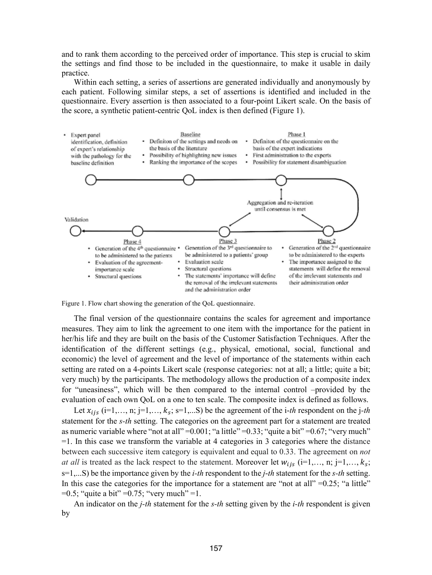and to rank them according to the perceived order of importance. This step is crucial to skim the settings and find those to be included in the questionnaire, to make it usable in daily practice.

Within each setting, a series of assertions are generated individually and anonymously by each patient. Following similar steps, a set of assertions is identified and included in the questionnaire. Every assertion is then associated to a four-point Likert scale. On the basis of the score, a synthetic patient-centric QoL index is then defined (Figure 1).



Figure 1. Flow chart showing the generation of the QoL questionnaire.

The final version of the questionnaire contains the scales for agreement and importance measures. They aim to link the agreement to one item with the importance for the patient in her/his life and they are built on the basis of the Customer Satisfaction Techniques. After the identification of the different settings (e.g., physical, emotional, social, functional and economic) the level of agreement and the level of importance of the statements within each setting are rated on a 4-points Likert scale (response categories: not at all; a little; quite a bit; very much) by the participants. The methodology allows the production of a composite index for "uneasiness", which will be then compared to the internal control –provided by the evaluation of each own QoL on a one to ten scale. The composite index is defined as follows.

Let  $x_{ijs}$  (i=1,…, n; j=1,…,  $k_s$ ; s=1,…S) be the agreement of the i-th respondent on the j-th statement for the s-th setting. The categories on the agreement part for a statement are treated as numeric variable where "not at all" =  $0.001$ ; "a little" =  $0.33$ ; "quite a bit" =  $0.67$ ; "very much"  $=1$ . In this case we transform the variable at 4 categories in 3 categories where the distance between each successive item category is equivalent and equal to 0.33. The agreement on *not* at all is treated as the lack respect to the statement. Moreover let  $w_{ijs}$  (i=1,..., n; j=1,...,  $k_s$ ;  $s=1,...S$ ) be the importance given by the *i-th* respondent to the *j-th* statement for the *s-th* setting. In this case the categories for the importance for a statement are "not at all" = $0.25$ ; "a little"  $=0.5$ ; "quite a bit"  $=0.75$ ; "very much"  $=1$ .

An indicator on the *j*-th statement for the *s*-th setting given by the *i*-th respondent is given by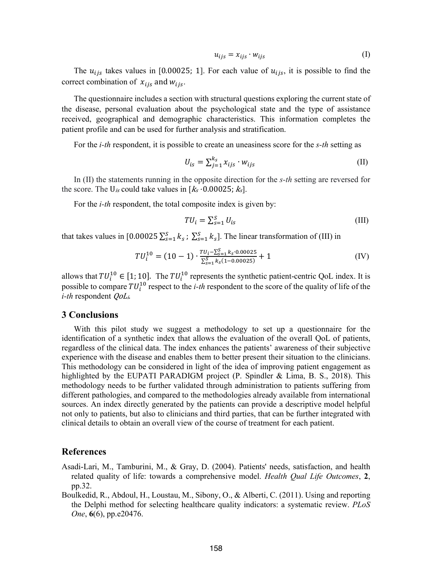$$
u_{ijs} = x_{ijs} \cdot w_{ijs} \tag{I}
$$

The  $u_{ijs}$  takes values in [0.00025; 1]. For each value of  $u_{ijs}$ , it is possible to find the correct combination of  $x_{ijs}$  and  $w_{ijs}$ .

The questionnaire includes a section with structural questions exploring the current state of the disease, personal evaluation about the psychological state and the type of assistance received, geographical and demographic characteristics. This information completes the patient profile and can be used for further analysis and stratification.

For the *i-th* respondent, it is possible to create an uneasiness score for the *s-th* setting as

$$
U_{is} = \sum_{j=1}^{k_s} x_{ijs} \cdot w_{ijs} \tag{II}
$$

In (II) the statements running in the opposite direction for the *s-th* setting are reversed for the score. The U<sub>is</sub> could take values in  $[k_s \cdot 0.00025; k_s]$ .

For the *i-th* respondent, the total composite index is given by:

$$
TU_i = \sum_{s=1}^{S} U_{is}
$$
 (III)

that takes values in [0.00025 $\sum_{s=1}^{S} k_s$ ;  $\sum_{s=1}^{S} k_s$ ]. The linear transformation of (III) in

$$
TU_i^{10} = (10-1) \cdot \frac{TU_i - \sum_{s=1}^{S} k_s \cdot 0.00025}{\sum_{s=1}^{S} k_s (1 - 0.00025)} + 1
$$
 (IV)

allows that  $TU_i^{10} \in [1; 10]$ . The  $TU_i^{10}$  represents the synthetic patient-centric QoL index. It is possible to compare  $TU_i^{10}$  respect to the *i-th* respondent to the score of the quality of life of the i-th respondent QoLi.

#### 3 Conclusions

With this pilot study we suggest a methodology to set up a questionnaire for the identification of a synthetic index that allows the evaluation of the overall QoL of patients, regardless of the clinical data. The index enhances the patients' awareness of their subjective experience with the disease and enables them to better present their situation to the clinicians. This methodology can be considered in light of the idea of improving patient engagement as highlighted by the EUPATI PARADIGM project (P. Spindler & Lima, B. S., 2018). This methodology needs to be further validated through administration to patients suffering from different pathologies, and compared to the methodologies already available from international sources. An index directly generated by the patients can provide a descriptive model helpful not only to patients, but also to clinicians and third parties, that can be further integrated with clinical details to obtain an overall view of the course of treatment for each patient.

### References

- Asadi-Lari, M., Tamburini, M., & Gray, D. (2004). Patients' needs, satisfaction, and health related quality of life: towards a comprehensive model. *Health Qual Life Outcomes*, 2, pp.32.
- Boulkedid, R., Abdoul, H., Loustau, M., Sibony, O., & Alberti, C. (2011). Using and reporting the Delphi method for selecting healthcare quality indicators: a systematic review. PLoS One, 6(6), pp.e20476.